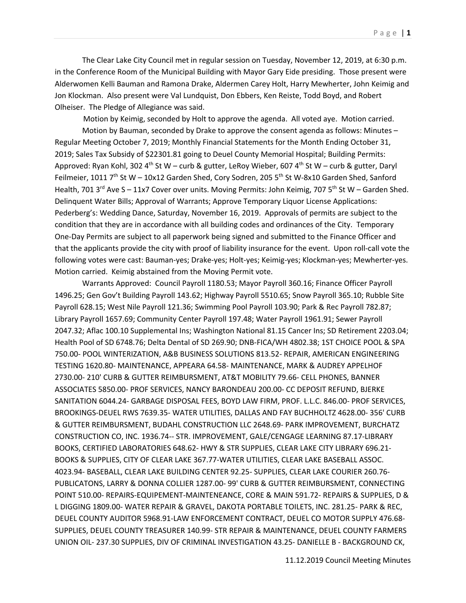The Clear Lake City Council met in regular session on Tuesday, November 12, 2019, at 6:30 p.m. in the Conference Room of the Municipal Building with Mayor Gary Eide presiding. Those present were Alderwomen Kelli Bauman and Ramona Drake, Aldermen Carey Holt, Harry Mewherter, John Keimig and Jon Klockman. Also present were Val Lundquist, Don Ebbers, Ken Reiste, Todd Boyd, and Robert Olheiser. The Pledge of Allegiance was said.

Motion by Keimig, seconded by Holt to approve the agenda. All voted aye. Motion carried.

Motion by Bauman, seconded by Drake to approve the consent agenda as follows: Minutes – Regular Meeting October 7, 2019; Monthly Financial Statements for the Month Ending October 31, 2019; Sales Tax Subsidy of \$22301.81 going to Deuel County Memorial Hospital; Building Permits: Approved: Ryan Kohl, 302 4<sup>th</sup> St W – curb & gutter, LeRoy Wieber, 607 4<sup>th</sup> St W – curb & gutter, Daryl Feilmeier, 1011 7<sup>th</sup> St W – 10x12 Garden Shed, Cory Sodren, 205 5<sup>th</sup> St W-8x10 Garden Shed, Sanford Health, 701 3<sup>rd</sup> Ave S – 11x7 Cover over units. Moving Permits: John Keimig, 707 5<sup>th</sup> St W – Garden Shed. Delinquent Water Bills; Approval of Warrants; Approve Temporary Liquor License Applications: Pederberg's: Wedding Dance, Saturday, November 16, 2019. Approvals of permits are subject to the condition that they are in accordance with all building codes and ordinances of the City. Temporary One-Day Permits are subject to all paperwork being signed and submitted to the Finance Officer and that the applicants provide the city with proof of liability insurance for the event. Upon roll-call vote the following votes were cast: Bauman-yes; Drake-yes; Holt-yes; Keimig-yes; Klockman-yes; Mewherter-yes. Motion carried. Keimig abstained from the Moving Permit vote.

Warrants Approved: Council Payroll 1180.53; Mayor Payroll 360.16; Finance Officer Payroll 1496.25; Gen Gov't Building Payroll 143.62; Highway Payroll 5510.65; Snow Payroll 365.10; Rubble Site Payroll 628.15; West Nile Payroll 121.36; Swimming Pool Payroll 103.90; Park & Rec Payroll 782.87; Library Payroll 1657.69; Community Center Payroll 197.48; Water Payroll 1961.91; Sewer Payroll 2047.32; Aflac 100.10 Supplemental Ins; Washington National 81.15 Cancer Ins; SD Retirement 2203.04; Health Pool of SD 6748.76; Delta Dental of SD 269.90; DNB-FICA/WH 4802.38; 1ST CHOICE POOL & SPA 750.00- POOL WINTERIZATION, A&B BUSINESS SOLUTIONS 813.52- REPAIR, AMERICAN ENGINEERING TESTING 1620.80- MAINTENANCE, APPEARA 64.58- MAINTENANCE, MARK & AUDREY APPELHOF 2730.00- 210' CURB & GUTTER REIMBURSMENT, AT&T MOBILITY 79.66- CELL PHONES, BANNER ASSOCIATES 5850.00- PROF SERVICES, NANCY BARONDEAU 200.00- CC DEPOSIT REFUND, BJERKE SANITATION 6044.24- GARBAGE DISPOSAL FEES, BOYD LAW FIRM, PROF. L.L.C. 846.00- PROF SERVICES, BROOKINGS-DEUEL RWS 7639.35- WATER UTILITIES, DALLAS AND FAY BUCHHOLTZ 4628.00- 356' CURB & GUTTER REIMBURSMENT, BUDAHL CONSTRUCTION LLC 2648.69- PARK IMPROVEMENT, BURCHATZ CONSTRUCTION CO, INC. 1936.74-- STR. IMPROVEMENT, GALE/CENGAGE LEARNING 87.17-LIBRARY BOOKS, CERTIFIED LABORATORIES 648.62- HWY & STR SUPPLIES, CLEAR LAKE CITY LIBRARY 696.21- BOOKS & SUPPLIES, CITY OF CLEAR LAKE 367.77-WATER UTILITIES, CLEAR LAKE BASEBALL ASSOC. 4023.94- BASEBALL, CLEAR LAKE BUILDING CENTER 92.25- SUPPLIES, CLEAR LAKE COURIER 260.76- PUBLICATONS, LARRY & DONNA COLLIER 1287.00- 99' CURB & GUTTER REIMBURSMENT, CONNECTING POINT 510.00- REPAIRS-EQUIPEMENT-MAINTENEANCE, CORE & MAIN 591.72- REPAIRS & SUPPLIES, D & L DIGGING 1809.00- WATER REPAIR & GRAVEL, DAKOTA PORTABLE TOILETS, INC. 281.25- PARK & REC, DEUEL COUNTY AUDITOR 5968.91-LAW ENFORCEMENT CONTRACT, DEUEL CO MOTOR SUPPLY 476.68- SUPPLIES, DEUEL COUNTY TREASURER 140.99- STR REPAIR & MAINTENANCE, DEUEL COUNTY FARMERS UNION OIL- 237.30 SUPPLIES, DIV OF CRIMINAL INVESTIGATION 43.25- DANIELLE B - BACKGROUND CK,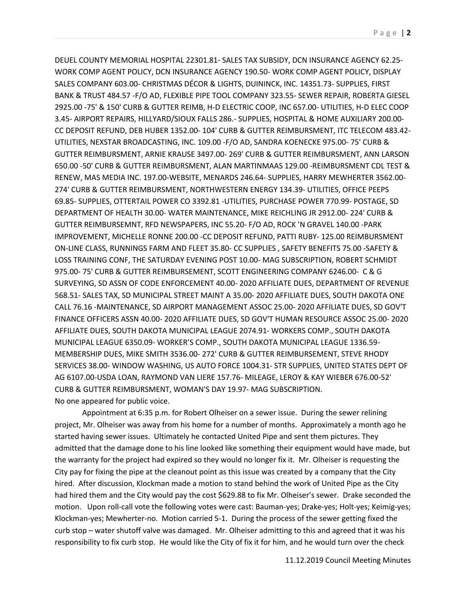DEUEL COUNTY MEMORIAL HOSPITAL 22301.81- SALES TAX SUBSIDY, DCN INSURANCE AGENCY 62.25- WORK COMP AGENT POLICY, DCN INSURANCE AGENCY 190.50- WORK COMP AGENT POLICY, DISPLAY SALES COMPANY 603.00- CHRISTMAS DÉCOR & LIGHTS, DUININCK, INC. 14351.73- SUPPLIES, FIRST BANK & TRUST 484.57 -F/O AD, FLEXIBLE PIPE TOOL COMPANY 323.55- SEWER REPAIR, ROBERTA GIESEL 2925.00 -75' & 150' CURB & GUTTER REIMB, H-D ELECTRIC COOP, INC 657.00- UTILITIES, H-D ELEC COOP 3.45- AIRPORT REPAIRS, HILLYARD/SIOUX FALLS 286.- SUPPLIES, HOSPITAL & HOME AUXILIARY 200.00- CC DEPOSIT REFUND, DEB HUBER 1352.00- 104' CURB & GUTTER REIMBURSMENT, ITC TELECOM 483.42- UTILITIES, NEXSTAR BROADCASTING, INC. 109.00 -F/O AD, SANDRA KOENECKE 975.00- 75' CURB & GUTTER REIMBURSMENT, ARNIE KRAUSE 3497.00- 269' CURB & GUTTER REIMBURSMENT, ANN LARSON 650.00 -50' CURB & GUTTER REIMBURSMENT, ALAN MARTINMAAS 129.00 -REIMBURSMENT CDL TEST & RENEW, MAS MEDIA INC. 197.00-WEBSITE, MENARDS 246.64- SUPPLIES, HARRY MEWHERTER 3562.00- 274' CURB & GUTTER REIMBURSMENT, NORTHWESTERN ENERGY 134.39- UTILITIES, OFFICE PEEPS 69.85- SUPPLIES, OTTERTAIL POWER CO 3392.81 -UTILITIES, PURCHASE POWER 770.99- POSTAGE, SD DEPARTMENT OF HEALTH 30.00- WATER MAINTENANCE, MIKE REICHLING JR 2912.00- 224' CURB & GUTTER REIMBURSEMNT, RFD NEWSPAPERS, INC 55.20- F/O AD, ROCK 'N GRAVEL 140.00 -PARK IMPROVEMENT, MICHELLE RONNE 200.00 -CC DEPOSIT REFUND, PATTI RUBY- 125.00 REIMBURSMENT ON-LINE CLASS, RUNNINGS FARM AND FLEET 35.80- CC SUPPLIES , SAFETY BENEFITS 75.00 -SAFETY & LOSS TRAINING CONF, THE SATURDAY EVENING POST 10.00- MAG SUBSCRIPTION, ROBERT SCHMIDT 975.00- 75' CURB & GUTTER REIMBURSEMENT, SCOTT ENGINEERING COMPANY 6246.00- C & G SURVEYING, SD ASSN OF CODE ENFORCEMENT 40.00- 2020 AFFILIATE DUES, DEPARTMENT OF REVENUE 568.51- SALES TAX, SD MUNICIPAL STREET MAINT A 35.00- 2020 AFFILIATE DUES, SOUTH DAKOTA ONE CALL 76.16 -MAINTENANCE, SD AIRPORT MANAGEMENT ASSOC 25.00- 2020 AFFILIATE DUES, SD GOV'T FINANCE OFFICERS ASSN 40.00- 2020 AFFILIATE DUES, SD GOV'T HUMAN RESOURCE ASSOC 25.00- 2020 AFFILIATE DUES, SOUTH DAKOTA MUNICIPAL LEAGUE 2074.91- WORKERS COMP., SOUTH DAKOTA MUNICIPAL LEAGUE 6350.09- WORKER'S COMP., SOUTH DAKOTA MUNICIPAL LEAGUE 1336.59- MEMBERSHIP DUES, MIKE SMITH 3536.00- 272' CURB & GUTTER REIMBURSEMENT, STEVE RHODY SERVICES 38.00- WINDOW WASHING, US AUTO FORCE 1004.31- STR SUPPLIES, UNITED STATES DEPT OF AG 6107.00-USDA LOAN, RAYMOND VAN LIERE 157.76- MILEAGE, LEROY & KAY WIEBER 676.00-52' CURB & GUTTER REIMBURSMENT, WOMAN'S DAY 19.97- MAG SUBSCRIPTION. No one appeared for public voice.

Appointment at 6:35 p.m. for Robert Olheiser on a sewer issue. During the sewer relining project, Mr. Olheiser was away from his home for a number of months. Approximately a month ago he started having sewer issues. Ultimately he contacted United Pipe and sent them pictures. They admitted that the damage done to his line looked like something their equipment would have made, but the warranty for the project had expired so they would no longer fix it. Mr. Olheiser is requesting the City pay for fixing the pipe at the cleanout point as this issue was created by a company that the City hired. After discussion, Klockman made a motion to stand behind the work of United Pipe as the City had hired them and the City would pay the cost \$629.88 to fix Mr. Olheiser's sewer. Drake seconded the motion. Upon roll-call vote the following votes were cast: Bauman-yes; Drake-yes; Holt-yes; Keimig-yes; Klockman-yes; Mewherter-no. Motion carried 5-1. During the process of the sewer getting fixed the curb stop – water shutoff valve was damaged. Mr. Olheiser admitting to this and agreed that it was his responsibility to fix curb stop. He would like the City of fix it for him, and he would turn over the check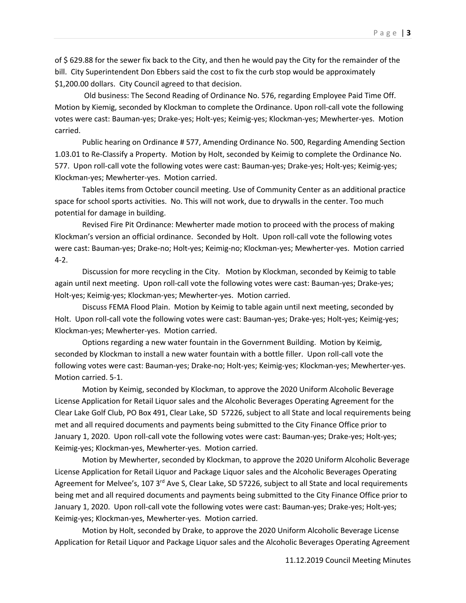of \$ 629.88 for the sewer fix back to the City, and then he would pay the City for the remainder of the bill. City Superintendent Don Ebbers said the cost to fix the curb stop would be approximately \$1,200.00 dollars. City Council agreed to that decision.

Old business: The Second Reading of Ordinance No. 576, regarding Employee Paid Time Off. Motion by Kiemig, seconded by Klockman to complete the Ordinance. Upon roll-call vote the following votes were cast: Bauman-yes; Drake-yes; Holt-yes; Keimig-yes; Klockman-yes; Mewherter-yes. Motion carried.

Public hearing on Ordinance # 577, Amending Ordinance No. 500, Regarding Amending Section 1.03.01 to Re-Classify a Property. Motion by Holt, seconded by Keimig to complete the Ordinance No. 577. Upon roll-call vote the following votes were cast: Bauman-yes; Drake-yes; Holt-yes; Keimig-yes; Klockman-yes; Mewherter-yes. Motion carried.

Tables items from October council meeting. Use of Community Center as an additional practice space for school sports activities. No. This will not work, due to drywalls in the center. Too much potential for damage in building.

Revised Fire Pit Ordinance: Mewherter made motion to proceed with the process of making Klockman's version an official ordinance. Seconded by Holt. Upon roll-call vote the following votes were cast: Bauman-yes; Drake-no; Holt-yes; Keimig-no; Klockman-yes; Mewherter-yes. Motion carried 4-2.

Discussion for more recycling in the City. Motion by Klockman, seconded by Keimig to table again until next meeting. Upon roll-call vote the following votes were cast: Bauman-yes; Drake-yes; Holt-yes; Keimig-yes; Klockman-yes; Mewherter-yes. Motion carried.

Discuss FEMA Flood Plain. Motion by Keimig to table again until next meeting, seconded by Holt. Upon roll-call vote the following votes were cast: Bauman-yes; Drake-yes; Holt-yes; Keimig-yes; Klockman-yes; Mewherter-yes. Motion carried.

Options regarding a new water fountain in the Government Building. Motion by Keimig, seconded by Klockman to install a new water fountain with a bottle filler. Upon roll-call vote the following votes were cast: Bauman-yes; Drake-no; Holt-yes; Keimig-yes; Klockman-yes; Mewherter-yes. Motion carried. 5-1.

Motion by Keimig, seconded by Klockman, to approve the 2020 Uniform Alcoholic Beverage License Application for Retail Liquor sales and the Alcoholic Beverages Operating Agreement for the Clear Lake Golf Club, PO Box 491, Clear Lake, SD 57226, subject to all State and local requirements being met and all required documents and payments being submitted to the City Finance Office prior to January 1, 2020. Upon roll-call vote the following votes were cast: Bauman-yes; Drake-yes; Holt-yes; Keimig-yes; Klockman-yes, Mewherter-yes. Motion carried.

Motion by Mewherter, seconded by Klockman, to approve the 2020 Uniform Alcoholic Beverage License Application for Retail Liquor and Package Liquor sales and the Alcoholic Beverages Operating Agreement for Melvee's, 107  $3<sup>rd</sup>$  Ave S, Clear Lake, SD 57226, subject to all State and local requirements being met and all required documents and payments being submitted to the City Finance Office prior to January 1, 2020. Upon roll-call vote the following votes were cast: Bauman-yes; Drake-yes; Holt-yes; Keimig-yes; Klockman-yes, Mewherter-yes. Motion carried.

Motion by Holt, seconded by Drake, to approve the 2020 Uniform Alcoholic Beverage License Application for Retail Liquor and Package Liquor sales and the Alcoholic Beverages Operating Agreement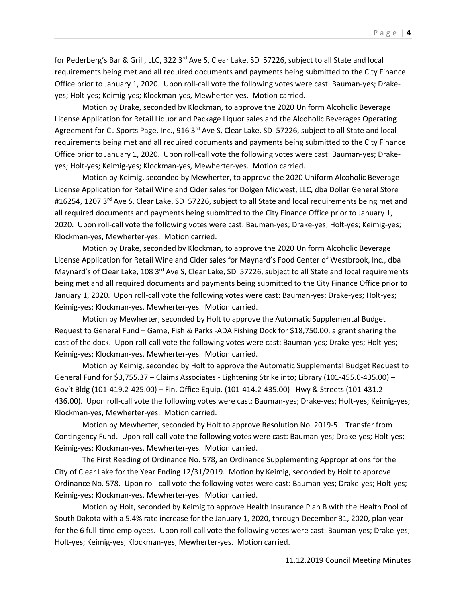for Pederberg's Bar & Grill, LLC, 322 3<sup>rd</sup> Ave S, Clear Lake, SD 57226, subject to all State and local requirements being met and all required documents and payments being submitted to the City Finance Office prior to January 1, 2020. Upon roll-call vote the following votes were cast: Bauman-yes; Drakeyes; Holt-yes; Keimig-yes; Klockman-yes, Mewherter-yes. Motion carried.

Motion by Drake, seconded by Klockman, to approve the 2020 Uniform Alcoholic Beverage License Application for Retail Liquor and Package Liquor sales and the Alcoholic Beverages Operating Agreement for CL Sports Page, Inc., 916 3<sup>rd</sup> Ave S, Clear Lake, SD 57226, subject to all State and local requirements being met and all required documents and payments being submitted to the City Finance Office prior to January 1, 2020. Upon roll-call vote the following votes were cast: Bauman-yes; Drakeyes; Holt-yes; Keimig-yes; Klockman-yes, Mewherter-yes. Motion carried.

Motion by Keimig, seconded by Mewherter, to approve the 2020 Uniform Alcoholic Beverage License Application for Retail Wine and Cider sales for Dolgen Midwest, LLC, dba Dollar General Store #16254, 1207 3<sup>rd</sup> Ave S, Clear Lake, SD 57226, subject to all State and local requirements being met and all required documents and payments being submitted to the City Finance Office prior to January 1, 2020. Upon roll-call vote the following votes were cast: Bauman-yes; Drake-yes; Holt-yes; Keimig-yes; Klockman-yes, Mewherter-yes. Motion carried.

Motion by Drake, seconded by Klockman, to approve the 2020 Uniform Alcoholic Beverage License Application for Retail Wine and Cider sales for Maynard's Food Center of Westbrook, Inc., dba Maynard's of Clear Lake, 108 3<sup>rd</sup> Ave S, Clear Lake, SD 57226, subject to all State and local requirements being met and all required documents and payments being submitted to the City Finance Office prior to January 1, 2020. Upon roll-call vote the following votes were cast: Bauman-yes; Drake-yes; Holt-yes; Keimig-yes; Klockman-yes, Mewherter-yes. Motion carried.

Motion by Mewherter, seconded by Holt to approve the Automatic Supplemental Budget Request to General Fund – Game, Fish & Parks -ADA Fishing Dock for \$18,750.00, a grant sharing the cost of the dock. Upon roll-call vote the following votes were cast: Bauman-yes; Drake-yes; Holt-yes; Keimig-yes; Klockman-yes, Mewherter-yes. Motion carried.

Motion by Keimig, seconded by Holt to approve the Automatic Supplemental Budget Request to General Fund for \$3,755.37 – Claims Associates - Lightening Strike into; Library (101-455.0-435.00) – Gov't Bldg (101-419.2-425.00) – Fin. Office Equip. (101-414.2-435.00) Hwy & Streets (101-431.2- 436.00). Upon roll-call vote the following votes were cast: Bauman-yes; Drake-yes; Holt-yes; Keimig-yes; Klockman-yes, Mewherter-yes. Motion carried.

Motion by Mewherter, seconded by Holt to approve Resolution No. 2019-5 – Transfer from Contingency Fund. Upon roll-call vote the following votes were cast: Bauman-yes; Drake-yes; Holt-yes; Keimig-yes; Klockman-yes, Mewherter-yes. Motion carried.

The First Reading of Ordinance No. 578, an Ordinance Supplementing Appropriations for the City of Clear Lake for the Year Ending 12/31/2019. Motion by Keimig, seconded by Holt to approve Ordinance No. 578. Upon roll-call vote the following votes were cast: Bauman-yes; Drake-yes; Holt-yes; Keimig-yes; Klockman-yes, Mewherter-yes. Motion carried.

Motion by Holt, seconded by Keimig to approve Health Insurance Plan B with the Health Pool of South Dakota with a 5.4% rate increase for the January 1, 2020, through December 31, 2020, plan year for the 6 full-time employees. Upon roll-call vote the following votes were cast: Bauman-yes; Drake-yes; Holt-yes; Keimig-yes; Klockman-yes, Mewherter-yes. Motion carried.